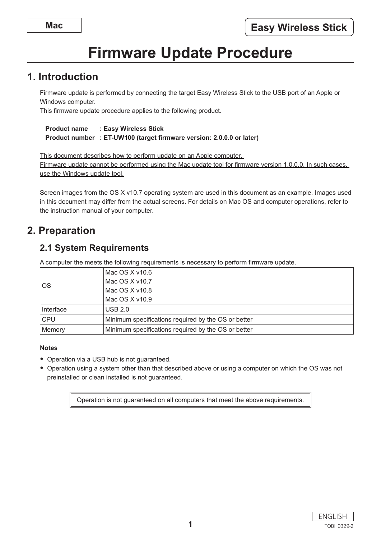# **Firmware Update Procedure**

# **1. Introduction**

Firmware update is performed by connecting the target Easy Wireless Stick to the USB port of an Apple or Windows computer.

This firmware update procedure applies to the following product.

```
Product name : Easy Wireless Stick
	 Product number	 : ET-UW100 (target firmware version: 2.0.0.0 or later)
```
This document describes how to perform update on an Apple computer. Firmware update cannot be performed using the Mac update tool for firmware version 1.0.0.0. In such cases, use the Windows update tool.

Screen images from the OS X v10.7 operating system are used in this document as an example. Images used in this document may differ from the actual screens. For details on Mac OS and computer operations, refer to the instruction manual of your computer.

# **2. Preparation**

# **2.1 System Requirements**

A computer the meets the following requirements is necessary to perform firmware update.

| <b>OS</b>  | Mac OS $X$ v10.6                                    |  |
|------------|-----------------------------------------------------|--|
|            | Mac OS X v10.7                                      |  |
|            | Mac OS X v10.8                                      |  |
|            | Mac $OS X v10.9$                                    |  |
| Interface  | <b>USB 2.0</b>                                      |  |
| <b>CPU</b> | Minimum specifications required by the OS or better |  |
| Memory     | Minimum specifications required by the OS or better |  |

#### **Notes**

- Operation via a USB hub is not guaranteed.
- Operation using a system other than that described above or using a computer on which the OS was not preinstalled or clean installed is not guaranteed.

Operation is not guaranteed on all computers that meet the above requirements.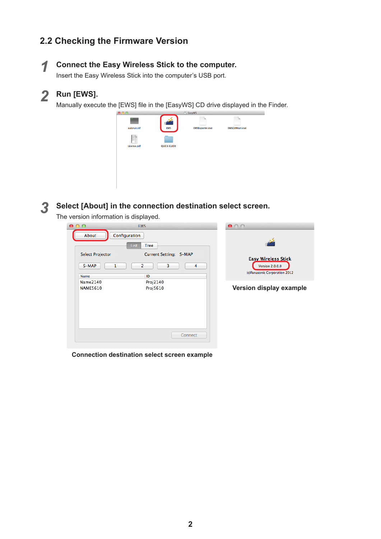# **2.2 Checking the Firmware Version**

#### *1* **Connect the Easy Wireless Stick to the computer.**

Insert the Easy Wireless Stick into the computer's USB port.

# *2* **Run [EWS].**

Manually execute the [EWS] file in the [EasyWS] CD drive displayed in the Finder.



#### *3* **Select [About] in the connection destination select screen.**

The version information is displayed.

| 000                                    | <b>EWS</b>                                                            | 000                                                                                   |
|----------------------------------------|-----------------------------------------------------------------------|---------------------------------------------------------------------------------------|
| About<br><b>Select Projector</b>       | Configuration<br><b>Tree</b><br><b>List</b><br>Current Setting: S-MAP |                                                                                       |
| S-MAP<br>-1<br>Name<br><b>Name2140</b> | 2<br>3<br>4<br>ID<br>Proj2140                                         | <b>Easy Wireless Stick</b><br><b>Version 2.0.0.0</b><br>(c)Panasonic Corporation 2012 |
| <b>NAME5610</b>                        | Proj5610                                                              | Version display example                                                               |
|                                        | Connect                                                               |                                                                                       |

**Connection destination select screen example**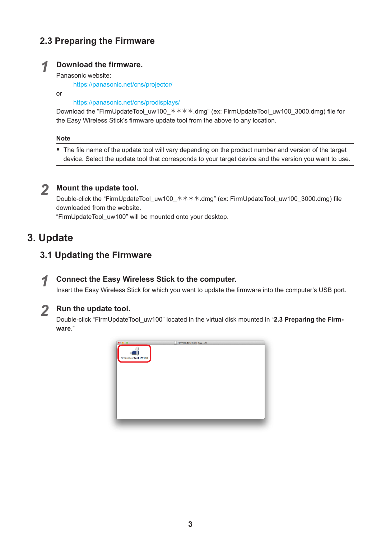# **2.3 Preparing the Firmware**

### *1* **Download the firmware.**

#### Panasonic website:

https://panasonic.net/cns/projector/

or

#### https://panasonic.net/cns/prodisplays/

Download the "FirmUpdateTool\_uw100\_ $****$ .dmg" (ex: FirmUpdateTool\_uw100\_3000.dmg) file for the Easy Wireless Stick's firmware update tool from the above to any location.

#### **Note**

• The file name of the update tool will vary depending on the product number and version of the target device. Select the update tool that corresponds to your target device and the version you want to use.

## *2* **Mount the update tool.**

Double-click the "FirmUpdateTool\_uw100\_ $\star\star\star\star$ .dmg" (ex: FirmUpdateTool\_uw100\_3000.dmg) file downloaded from the website.

"FirmUpdateTool\_uw100" will be mounted onto your desktop.

# **3. Update**

# **3.1 Updating the Firmware**

#### *1* **Connect the Easy Wireless Stick to the computer.**

Insert the Easy Wireless Stick for which you want to update the firmware into the computer's USB port.

#### *2* **Run the update tool.**

Double-click "FirmUpdateTool\_uw100" located in the virtual disk mounted in "**2.3 Preparing the Firmware**."

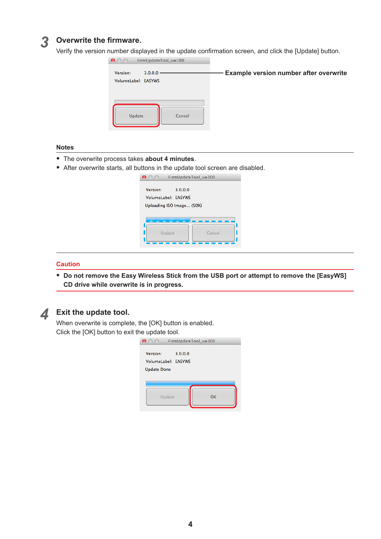#### *3* **Overwrite the firmware.**

Verify the version number displayed in the update confirmation screen, and click the [Update] button.



#### **Notes**

- y The overwrite process takes **about 4 minutes**.
- After overwrite starts, all buttons in the update tool screen are disabled.

|                                                                         | FirmUpdateTool uw100 |
|-------------------------------------------------------------------------|----------------------|
| Version:<br>3.0.0.0<br>VolumeLabel: EASYWS<br>Uploading ISO Image (50%) |                      |
| Update                                                                  | Cancel               |

#### **Caution**

y **Do not remove the Easy Wireless Stick from the USB port or attempt to remove the [EasyWS] CD drive while overwrite is in progress.**



#### *4* **Exit the update tool.**

When overwrite is complete, the [OK] button is enabled. Click the [OK] button to exit the update tool.